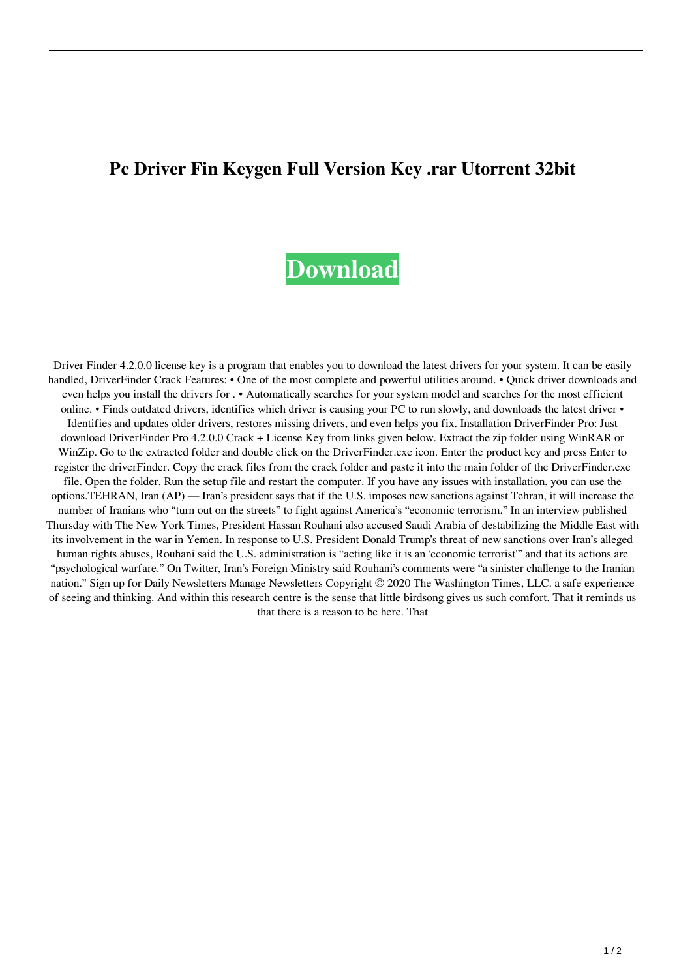## **Pc Driver Fin Keygen Full Version Key .rar Utorrent 32bit**

## **[Download](http://evacdir.com/expresscard/population.RHJpdmVyIEZpbmRlciAzLjguMCBDcmFjawRHJ/musicnotes=neruochemicals/nineteenth.corns?ZG93bmxvYWR8Q24wTW1Vd2QzeDhNVFkxTWpjME1EZzJObng4TWpVM05IeDhLRTBwSUhKbFlXUXRZbXh2WnlCYlJtRnpkQ0JIUlU1ZA=stumble)**

Driver Finder 4.2.0.0 license key is a program that enables you to download the latest drivers for your system. It can be easily handled, DriverFinder Crack Features: • One of the most complete and powerful utilities around. • Quick driver downloads and even helps you install the drivers for . • Automatically searches for your system model and searches for the most efficient online. • Finds outdated drivers, identifies which driver is causing your PC to run slowly, and downloads the latest driver • Identifies and updates older drivers, restores missing drivers, and even helps you fix. Installation DriverFinder Pro: Just download DriverFinder Pro 4.2.0.0 Crack + License Key from links given below. Extract the zip folder using WinRAR or WinZip. Go to the extracted folder and double click on the DriverFinder.exe icon. Enter the product key and press Enter to register the driverFinder. Copy the crack files from the crack folder and paste it into the main folder of the DriverFinder.exe file. Open the folder. Run the setup file and restart the computer. If you have any issues with installation, you can use the options.TEHRAN, Iran (AP) — Iran's president says that if the U.S. imposes new sanctions against Tehran, it will increase the number of Iranians who "turn out on the streets" to fight against America's "economic terrorism." In an interview published Thursday with The New York Times, President Hassan Rouhani also accused Saudi Arabia of destabilizing the Middle East with its involvement in the war in Yemen. In response to U.S. President Donald Trump's threat of new sanctions over Iran's alleged human rights abuses, Rouhani said the U.S. administration is "acting like it is an 'economic terrorist'" and that its actions are "psychological warfare." On Twitter, Iran's Foreign Ministry said Rouhani's comments were "a sinister challenge to the Iranian nation." Sign up for Daily Newsletters Manage Newsletters Copyright © 2020 The Washington Times, LLC. a safe experience of seeing and thinking. And within this research centre is the sense that little birdsong gives us such comfort. That it reminds us that there is a reason to be here. That